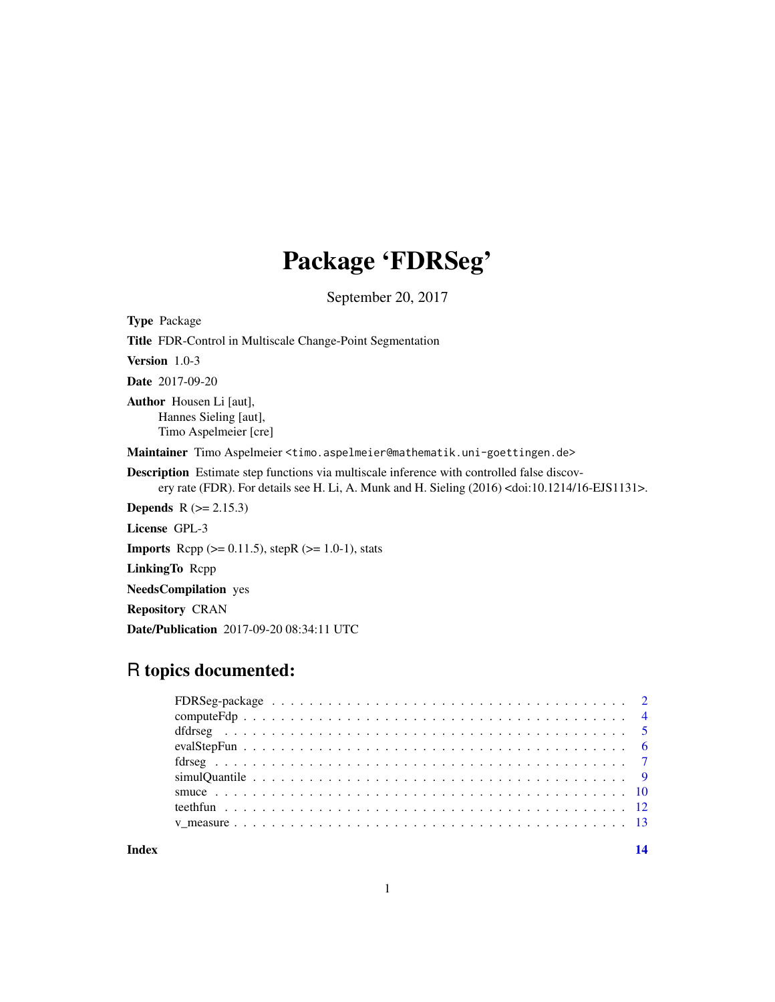# Package 'FDRSeg'

September 20, 2017

<span id="page-0-0"></span>

| <b>Type Package</b>                                                                                                                                                                                                    |
|------------------------------------------------------------------------------------------------------------------------------------------------------------------------------------------------------------------------|
| <b>Title</b> FDR-Control in Multiscale Change-Point Segmentation                                                                                                                                                       |
| <b>Version</b> $1.0-3$                                                                                                                                                                                                 |
| <b>Date</b> 2017-09-20                                                                                                                                                                                                 |
| <b>Author</b> Housen Li [aut],<br>Hannes Sieling [aut],<br>Timo Aspelmeier [cre]                                                                                                                                       |
| Maintainer Timo Aspelmeier <timo.aspelmeier@mathematik.uni-goettingen.de></timo.aspelmeier@mathematik.uni-goettingen.de>                                                                                               |
| <b>Description</b> Estimate step functions via multiscale inference with controlled false discov-<br>ery rate (FDR). For details see H. Li, A. Munk and H. Sieling $(2016)$ <doi:10.1214 16-ejs1131="">.</doi:10.1214> |
| <b>Depends</b> $R (= 2.15.3)$                                                                                                                                                                                          |
| License GPL-3                                                                                                                                                                                                          |
| <b>Imports</b> Repp $(>= 0.11.5)$ , stepR $(>= 1.0-1)$ , stats                                                                                                                                                         |
| <b>LinkingTo</b> Repp                                                                                                                                                                                                  |
| <b>NeedsCompilation</b> yes                                                                                                                                                                                            |
| <b>Repository CRAN</b>                                                                                                                                                                                                 |
| <b>Date/Publication</b> 2017-09-20 08:34:11 UTC                                                                                                                                                                        |

# R topics documented:

**Index** 2008 **[14](#page-13-0)**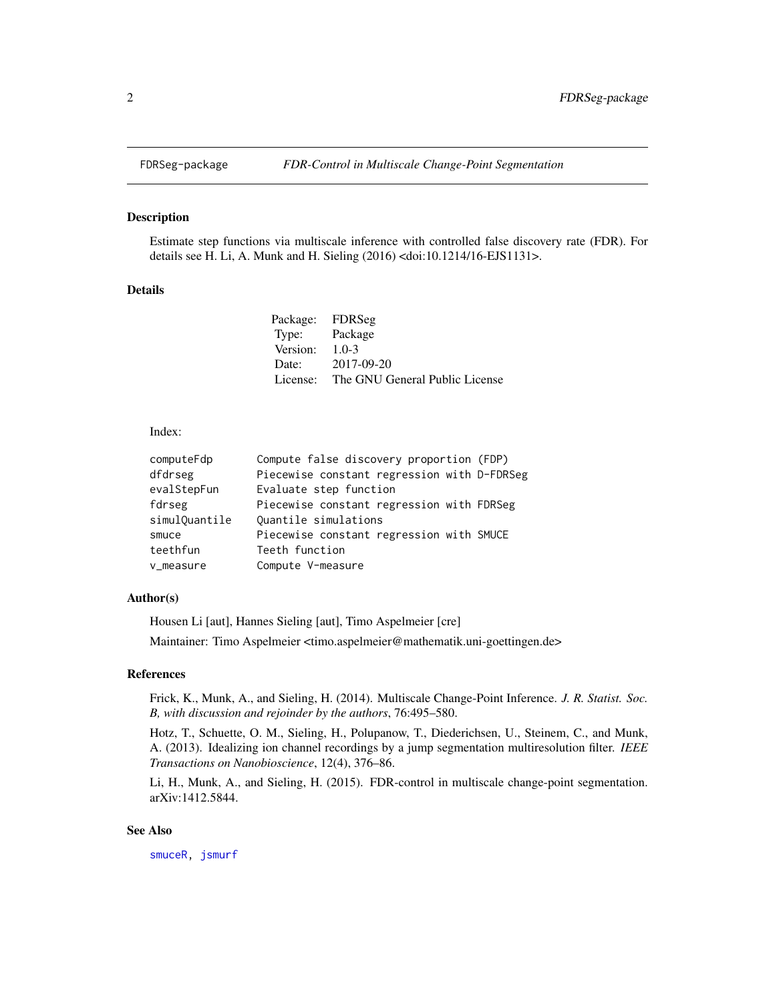<span id="page-1-0"></span>

# Description

Estimate step functions via multiscale inference with controlled false discovery rate (FDR). For details see H. Li, A. Munk and H. Sieling (2016) <doi:10.1214/16-EJS1131>.

#### Details

| Package: FDRSeg |                                |
|-----------------|--------------------------------|
| Type: Package   |                                |
| Version:        | $1.0-3$                        |
| Date:           | 2017-09-20                     |
| License:        | The GNU General Public License |

#### Index:

| computeFdp    | Compute false discovery proportion (FDP)    |
|---------------|---------------------------------------------|
| dfdrseg       | Piecewise constant regression with D-FDRSeg |
| evalStepFun   | Evaluate step function                      |
| fdrseg        | Piecewise constant regression with FDRSeg   |
| simulQuantile | Quantile simulations                        |
| smuce         | Piecewise constant regression with SMUCE    |
| teethfun      | Teeth function                              |
| v_measure     | Compute V-measure                           |

# Author(s)

Housen Li [aut], Hannes Sieling [aut], Timo Aspelmeier [cre] Maintainer: Timo Aspelmeier <timo.aspelmeier@mathematik.uni-goettingen.de>

#### References

Frick, K., Munk, A., and Sieling, H. (2014). Multiscale Change-Point Inference. *J. R. Statist. Soc. B, with discussion and rejoinder by the authors*, 76:495–580.

Hotz, T., Schuette, O. M., Sieling, H., Polupanow, T., Diederichsen, U., Steinem, C., and Munk, A. (2013). Idealizing ion channel recordings by a jump segmentation multiresolution filter. *IEEE Transactions on Nanobioscience*, 12(4), 376–86.

Li, H., Munk, A., and Sieling, H. (2015). FDR-control in multiscale change-point segmentation. arXiv:1412.5844.

#### See Also

[smuceR,](#page-0-0) [jsmurf](#page-0-0)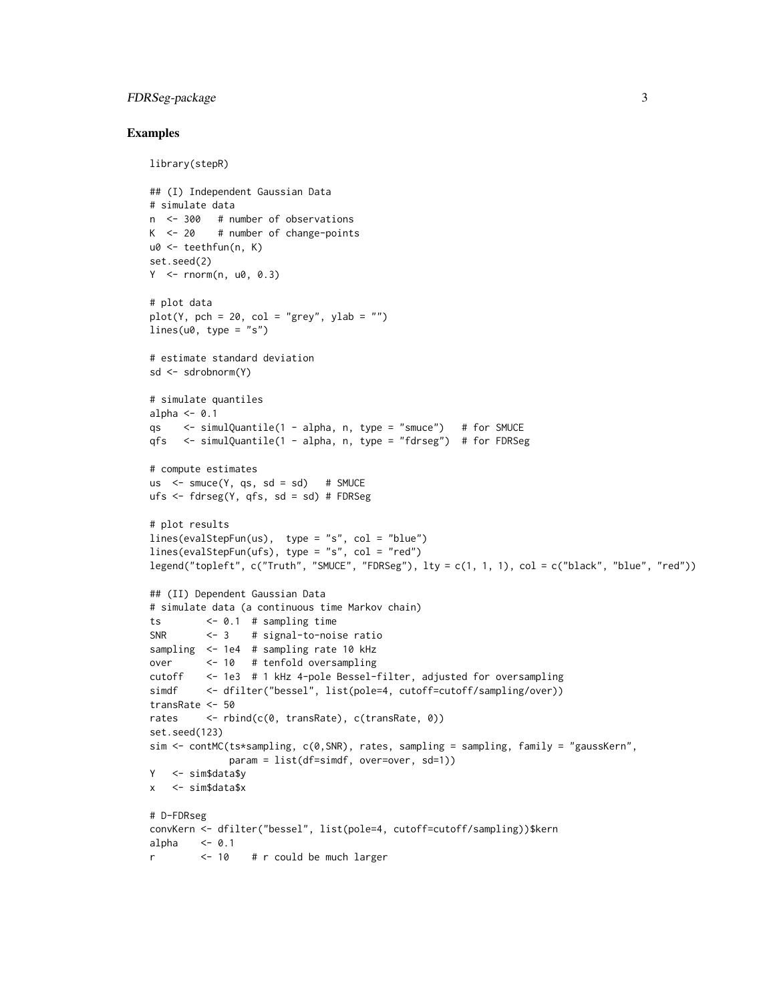# FDRSeg-package 3

```
library(stepR)
## (I) Independent Gaussian Data
# simulate data
n <- 300 # number of observations
K <- 20 # number of change-points
u0 <- teethfun(n, K)
set.seed(2)
Y \le - rnorm(n, u0, 0.3)# plot data
plot(Y, pch = 20, col = "grey", ylab = "")lines(u0, type = "s")# estimate standard deviation
sd <- sdrobnorm(Y)
# simulate quantiles
alpha <- 0.1
qs <- simulQuantile(1 - alpha, n, type = "smuce") # for SMUCE
qfs <- simulQuantile(1 - alpha, n, type = "fdrseg") # for FDRSeg
# compute estimates
us <- smuce(Y, qs, sd = sd) # SMUCE
ufs <- fdrseg(Y, qfs, sd = sd) # FDRSeg
# plot results
lines(evalStepFun(us), type = "s", col = "blue")
lines(evalStepFun(ufs), type = "s", col = "red")
legend("topleft", c("Truth", "SMUCE", "FDRSeg"), lty = c(1, 1, 1), col = c("black", "blue", "red"))
## (II) Dependent Gaussian Data
# simulate data (a continuous time Markov chain)
ts <- 0.1 # sampling time
SNR <- 3 # signal-to-noise ratio
sampling <- 1e4 # sampling rate 10 kHz
over <- 10 # tenfold oversampling
cutoff <- 1e3 # 1 kHz 4-pole Bessel-filter, adjusted for oversampling
simdf <- dfilter("bessel", list(pole=4, cutoff=cutoff/sampling/over))
transRate <- 50
rates <- rbind(c(0, transRate), c(transRate, 0))
set.seed(123)
sim <- contMC(ts*sampling, c(0,SNR), rates, sampling = sampling, family = "gaussKern",
             param = list(df=simdf, over=over, sd=1))
Y <- sim$data$y
x <- sim$data$x
# D-FDRseg
convKern <- dfilter("bessel", list(pole=4, cutoff=cutoff/sampling))$kern
alpha \leq 0.1r <- 10 # r could be much larger
```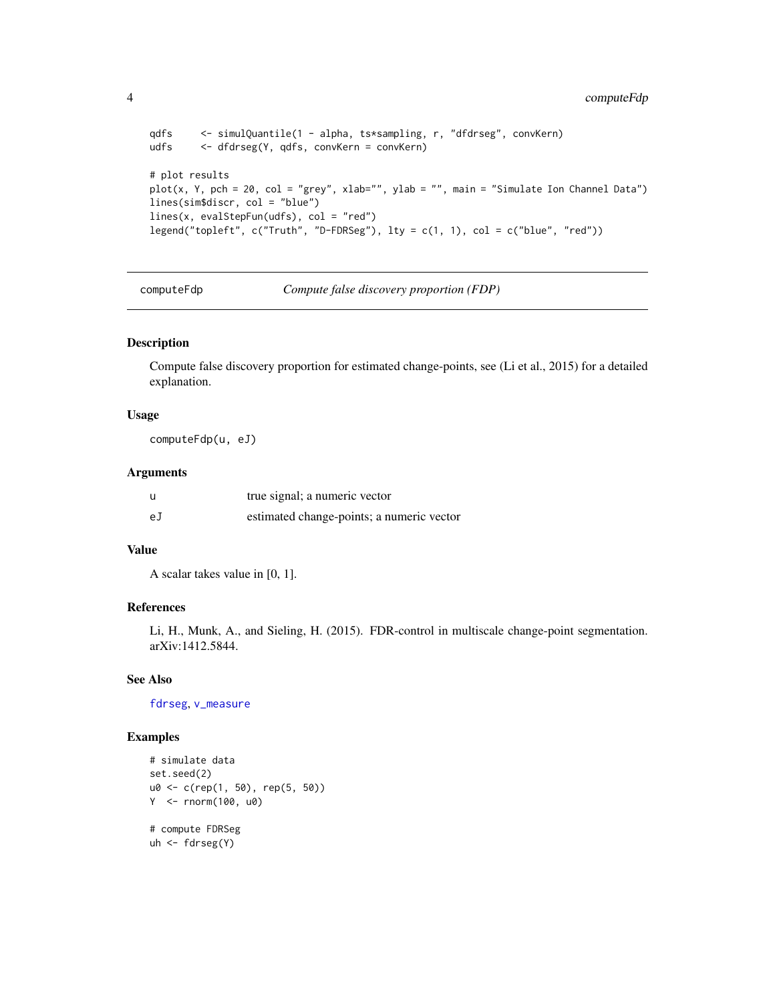```
qdfs <- simulQuantile(1 - alpha, ts*sampling, r, "dfdrseg", convKern)
udfs <- dfdrseg(Y, qdfs, convKern = convKern)
# plot results
plot(x, Y, pch = 20, col = "grey", xlab="", ylab = "", main = "Simulate Ion Channel Data")
lines(sim$discr, col = "blue")
lines(x, evalStepFun(udfs), col = "red")
legend("topleft", c("Truth", "D-FDRSeg"), lty = c(1, 1), col = c("blue", "red"))
```
<span id="page-3-1"></span>computeFdp *Compute false discovery proportion (FDP)*

# Description

Compute false discovery proportion for estimated change-points, see (Li et al., 2015) for a detailed explanation.

#### Usage

computeFdp(u, eJ)

# Arguments

| u  | true signal; a numeric vector             |
|----|-------------------------------------------|
| еJ | estimated change-points; a numeric vector |

# Value

A scalar takes value in [0, 1].

#### References

Li, H., Munk, A., and Sieling, H. (2015). FDR-control in multiscale change-point segmentation. arXiv:1412.5844.

# See Also

[fdrseg](#page-6-1), [v\\_measure](#page-12-1)

```
# simulate data
set.seed(2)
u0 <- c(rep(1, 50), rep(5, 50))
Y <- rnorm(100, u0)
# compute FDRSeg
uh <- fdrseg(Y)
```
<span id="page-3-0"></span>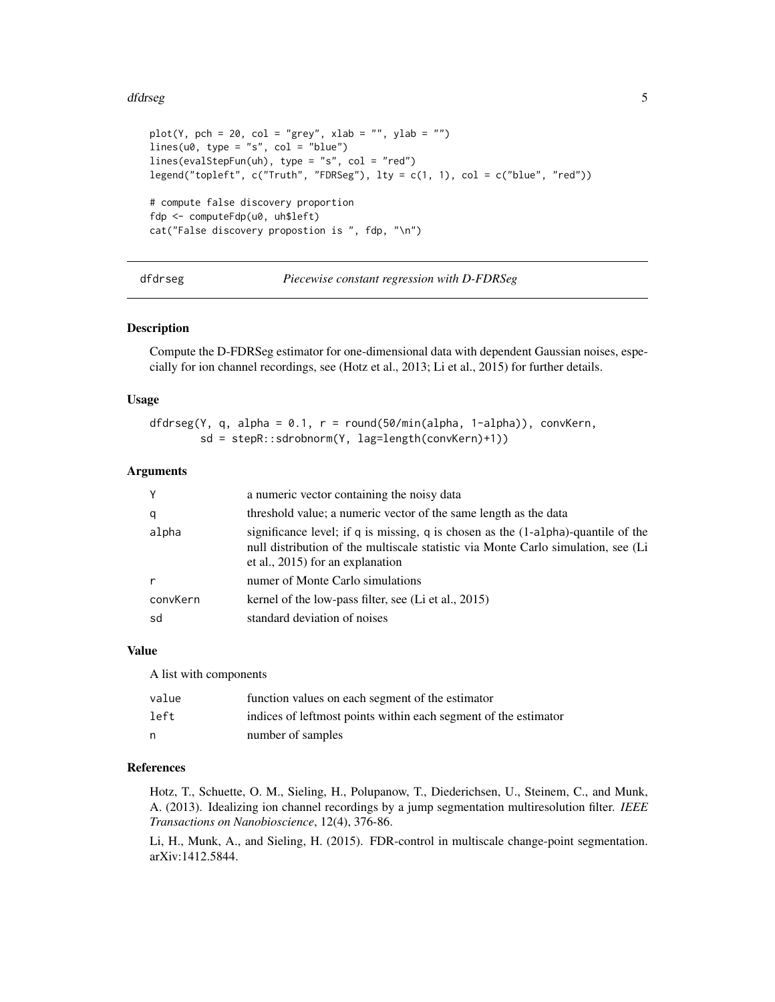#### <span id="page-4-0"></span>dfdrseg 50 to 1999 and 1999 and 1999 and 1999 and 1999 and 1999 and 1999 and 1999 and 1999 and 1999 and 1999 and 1999 and 1999 and 1999 and 1999 and 1999 and 1999 and 1999 and 1999 and 1999 and 1999 and 1999 and 1999 and 1

```
plot(Y, pch = 20, col = "grey", xlab = "", ylab = "")
lines(u0, type = "s", col = "blue")lines(evalStepFun(uh), type = "s", col = "red")
legend("topleft", c("Truth", "FDRSeg"), lty = c(1, 1), col = c("blue", "red"))# compute false discovery proportion
fdp <- computeFdp(u0, uh$left)
cat("False discovery propostion is ", fdp, "\n")
```
<span id="page-4-1"></span>dfdrseg *Piecewise constant regression with D-FDRSeg*

# Description

Compute the D-FDRSeg estimator for one-dimensional data with dependent Gaussian noises, especially for ion channel recordings, see (Hotz et al., 2013; Li et al., 2015) for further details.

#### Usage

dfdrseg(Y, q, alpha =  $0.1$ ,  $r =$  round(50/min(alpha, 1-alpha)), convKern, sd = stepR::sdrobnorm(Y, lag=length(convKern)+1))

#### Arguments

| Y        | a numeric vector containing the noisy data                                                                                                                                                                    |
|----------|---------------------------------------------------------------------------------------------------------------------------------------------------------------------------------------------------------------|
| q        | threshold value; a numeric vector of the same length as the data                                                                                                                                              |
| alpha    | significance level; if q is missing, q is chosen as the $(1-a1pha)$ -quantile of the<br>null distribution of the multiscale statistic via Monte Carlo simulation, see (Li<br>et al., 2015) for an explanation |
|          | numer of Monte Carlo simulations                                                                                                                                                                              |
| convKern | kernel of the low-pass filter, see (Li et al., 2015)                                                                                                                                                          |
| sd       | standard deviation of noises                                                                                                                                                                                  |
|          |                                                                                                                                                                                                               |

#### Value

A list with components

| value | function values on each segment of the estimator                |
|-------|-----------------------------------------------------------------|
| left  | indices of leftmost points within each segment of the estimator |
| n     | number of samples                                               |

#### References

Hotz, T., Schuette, O. M., Sieling, H., Polupanow, T., Diederichsen, U., Steinem, C., and Munk, A. (2013). Idealizing ion channel recordings by a jump segmentation multiresolution filter. *IEEE Transactions on Nanobioscience*, 12(4), 376-86.

Li, H., Munk, A., and Sieling, H. (2015). FDR-control in multiscale change-point segmentation. arXiv:1412.5844.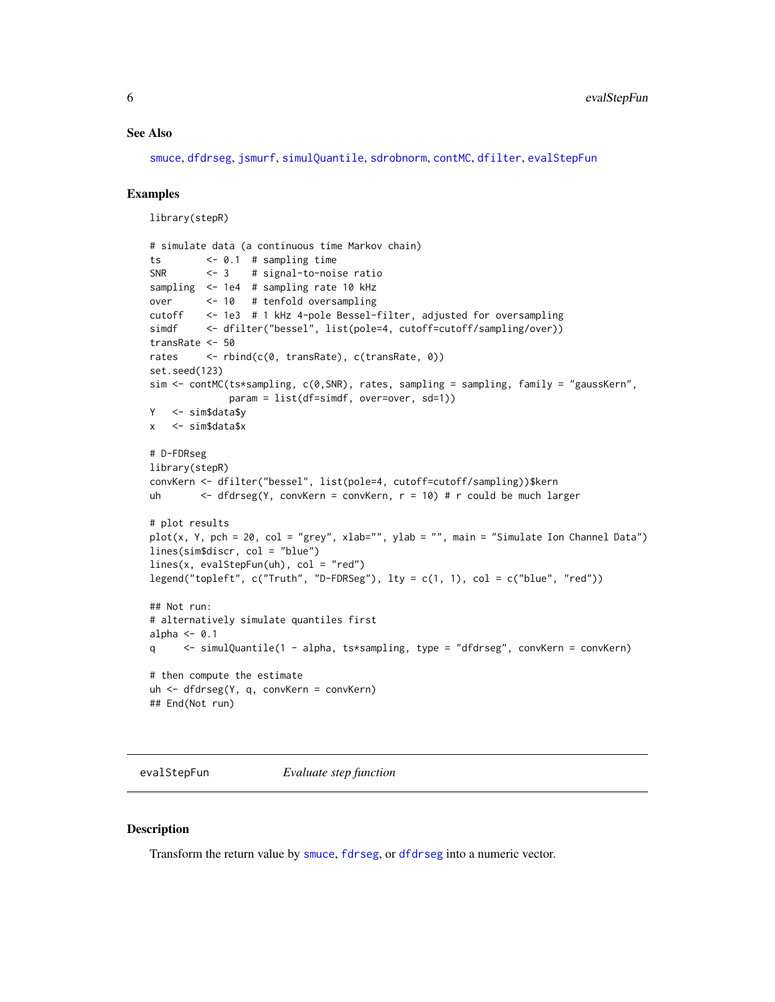#### <span id="page-5-0"></span>See Also

[smuce](#page-9-1), [dfdrseg](#page-4-1), [jsmurf](#page-0-0), [simulQuantile](#page-8-1), [sdrobnorm](#page-0-0), [contMC](#page-0-0), [dfilter](#page-0-0), [evalStepFun](#page-5-1)

# Examples

```
library(stepR)
# simulate data (a continuous time Markov chain)
ts <-0.1 # sampling time
SNR <- 3 # signal-to-noise ratio
sampling <- 1e4 # sampling rate 10 kHz
over <- 10 # tenfold oversampling
cutoff <- 1e3 # 1 kHz 4-pole Bessel-filter, adjusted for oversampling
simdf <- dfilter("bessel", list(pole=4, cutoff=cutoff/sampling/over))
transRate <- 50
rates <- rbind(c(0, transRate), c(transRate, 0))
set.seed(123)
sim <- contMC(ts*sampling, c(0,SNR), rates, sampling = sampling, family = "gaussKern",
             param = list(df=simdf, over=over, sd=1))
Y <- sim$data$y
x <- sim$data$x
# D-FDRseg
library(stepR)
convKern <- dfilter("bessel", list(pole=4, cutoff=cutoff/sampling))$kern
uh <- dfdrseg(Y, convKern = convKern, r = 10) # r could be much larger
# plot results
plot(x, Y, pch = 20, col = "grey", xlab="", ylab = "", main = "Simulate Ion Channel Data")lines(sim$discr, col = "blue")
lines(x, evalStepFun(uh), col = "red")
legend("topleft", c("Truth", "D-FDRSeg"), lty = c(1, 1), col = c("blue", "red"))## Not run:
# alternatively simulate quantiles first
alpha <- 0.1
q <- simulQuantile(1 - alpha, ts*sampling, type = "dfdrseg", convKern = convKern)
# then compute the estimate
uh <- dfdrseg(Y, q, convKern = convKern)
## End(Not run)
```
<span id="page-5-1"></span>evalStepFun *Evaluate step function*

# Description

Transform the return value by [smuce](#page-9-1), [fdrseg](#page-6-1), or [dfdrseg](#page-4-1) into a numeric vector.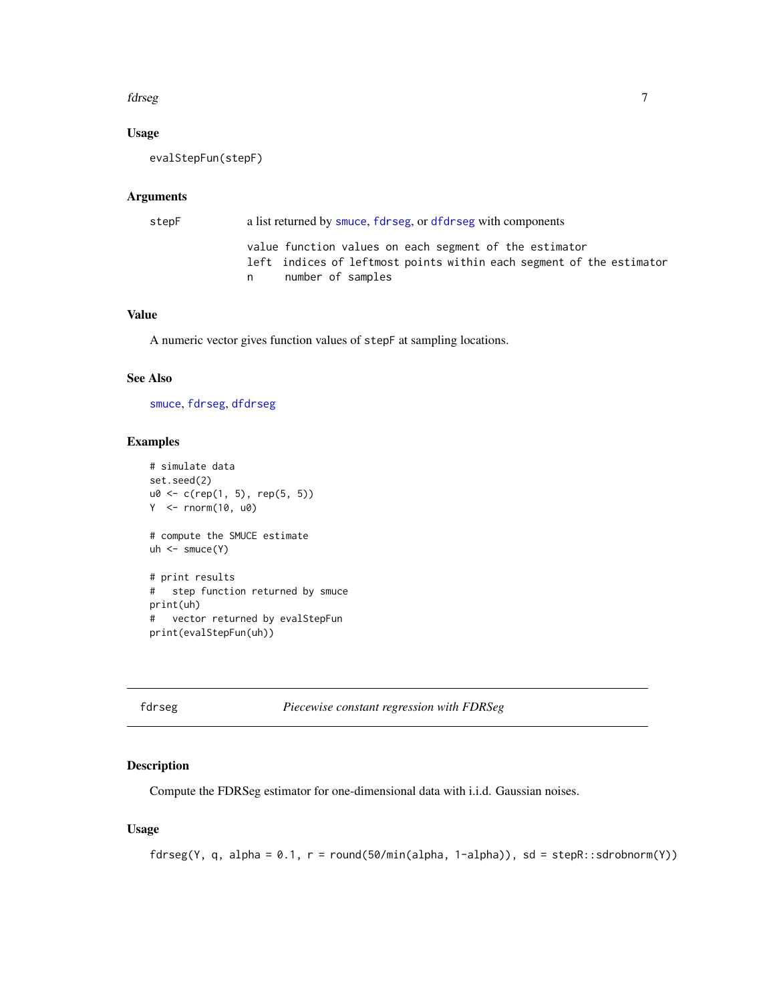#### <span id="page-6-0"></span>fdrseg til 1996 og større at den en større at de større at de større at de større at de større at de større at

# Usage

evalStepFun(stepF)

# Arguments

| stepF | a list returned by smuce, fdrseg, or dfdrseg with components         |
|-------|----------------------------------------------------------------------|
|       | value function values on each segment of the estimator               |
|       | left indices of leftmost points within each segment of the estimator |
|       | number of samples<br>n.                                              |

# Value

A numeric vector gives function values of stepF at sampling locations.

### See Also

[smuce](#page-9-1), [fdrseg](#page-6-1), [dfdrseg](#page-4-1)

# Examples

```
# simulate data
set.seed(2)
u0 <- c(rep(1, 5), rep(5, 5))
Y <- rnorm(10, u0)
# compute the SMUCE estimate
uh \leftarrow smuce(Y)# print results
# step function returned by smuce
print(uh)
# vector returned by evalStepFun
print(evalStepFun(uh))
```
<span id="page-6-1"></span>fdrseg *Piecewise constant regression with FDRSeg*

# Description

Compute the FDRSeg estimator for one-dimensional data with i.i.d. Gaussian noises.

# Usage

```
fdrseg(Y, q, alpha = 0.1, r = round(50/min(alpha, 1-alpha)), sd = stepR::sdrobnorm(Y))
```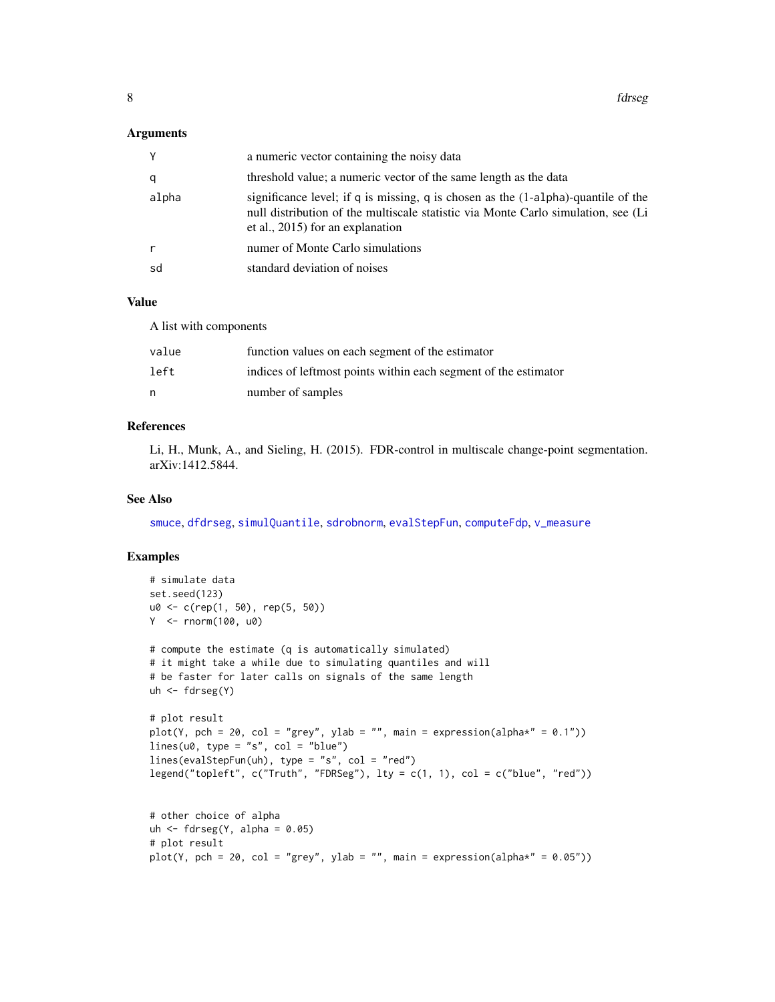#### <span id="page-7-0"></span>Arguments

| Y            | a numeric vector containing the noisy data                                                                                                                                                                       |
|--------------|------------------------------------------------------------------------------------------------------------------------------------------------------------------------------------------------------------------|
| q            | threshold value; a numeric vector of the same length as the data                                                                                                                                                 |
| alpha        | significance level; if q is missing, q is chosen as the $(1-a1pha)$ -quantile of the<br>null distribution of the multiscale statistic via Monte Carlo simulation, see (Li<br>et al., $2015$ ) for an explanation |
| $\mathsf{r}$ | numer of Monte Carlo simulations                                                                                                                                                                                 |
| sd           | standard deviation of noises                                                                                                                                                                                     |

# Value

A list with components

| value | function values on each segment of the estimator                |
|-------|-----------------------------------------------------------------|
| left  | indices of leftmost points within each segment of the estimator |
|       | number of samples                                               |

# References

Li, H., Munk, A., and Sieling, H. (2015). FDR-control in multiscale change-point segmentation. arXiv:1412.5844.

#### See Also

[smuce](#page-9-1), [dfdrseg](#page-4-1), [simulQuantile](#page-8-1), [sdrobnorm](#page-0-0), [evalStepFun](#page-5-1), [computeFdp](#page-3-1), [v\\_measure](#page-12-1)

```
# simulate data
set.seed(123)
u0 <- c(rep(1, 50), rep(5, 50))
Y <- rnorm(100, u0)
# compute the estimate (q is automatically simulated)
# it might take a while due to simulating quantiles and will
# be faster for later calls on signals of the same length
uh <- fdrseg(Y)
# plot result
plot(Y, pch = 20, col = "grey", ylab = "", main = expression(alpha*" = 0.1"))
lines(u\emptyset, type = "s", col = "blue")lines(evalStepFun(uh), type = "s", col = "red")
legend("topleft", c("Truth", "FDRSeg"), lty = c(1, 1), col = c("blue", "red"))# other choice of alpha
uh \leq fdrseg(Y, alpha = 0.05)
# plot result
plot(Y, pch = 20, col = "grey", ylab = "", main = expression(alpha*" = 0.05"))
```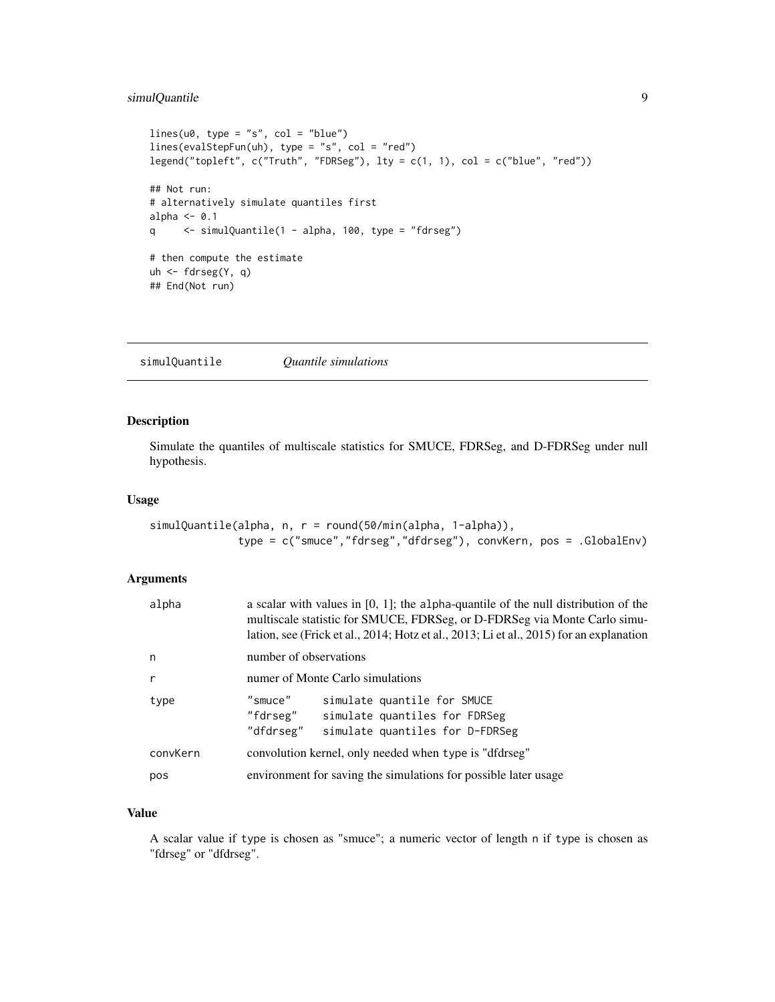# <span id="page-8-0"></span>simulQuantile 9

```
lines(u0, type = "s", col = "blue")lines(evalStepFun(uh), type = "s", col = "red")
legend("topleft", c("Truth", "FDRSeg"), lty = c(1, 1), col = c("blue", "red"))
## Not run:
# alternatively simulate quantiles first
alpha <- 0.1
q <- simulQuantile(1 - alpha, 100, type = "fdrseg")
# then compute the estimate
uh <- fdrseg(Y, q)
## End(Not run)
```
<span id="page-8-1"></span>simulQuantile *Quantile simulations*

# Description

Simulate the quantiles of multiscale statistics for SMUCE, FDRSeg, and D-FDRSeg under null hypothesis.

# Usage

```
simulQuantile(alpha, n, r = round(50/min(alpha, 1-alpha)),
             type = c("smuce","fdrseg","dfdrseg"), convKern, pos = .GlobalEnv)
```
# Arguments

|                                                        | a scalar with values in $[0, 1]$ ; the alpha-quantile of the null distribution of the<br>multiscale statistic for SMUCE, FDRSeg, or D-FDRSeg via Monte Carlo simu-<br>lation, see (Frick et al., 2014; Hotz et al., 2013; Li et al., 2015) for an explanation |
|--------------------------------------------------------|---------------------------------------------------------------------------------------------------------------------------------------------------------------------------------------------------------------------------------------------------------------|
| number of observations                                 |                                                                                                                                                                                                                                                               |
|                                                        | numer of Monte Carlo simulations                                                                                                                                                                                                                              |
| "smuce"<br>"fdrseg"<br>"dfdrseg"                       | simulate quantile for SMUCE<br>simulate quantiles for FDRSeg<br>simulate quantiles for D-FDRSeg                                                                                                                                                               |
| convolution kernel, only needed when type is "dfdrseg" |                                                                                                                                                                                                                                                               |
|                                                        | environment for saving the simulations for possible later usage                                                                                                                                                                                               |
|                                                        |                                                                                                                                                                                                                                                               |

# Value

A scalar value if type is chosen as "smuce"; a numeric vector of length n if type is chosen as "fdrseg" or "dfdrseg".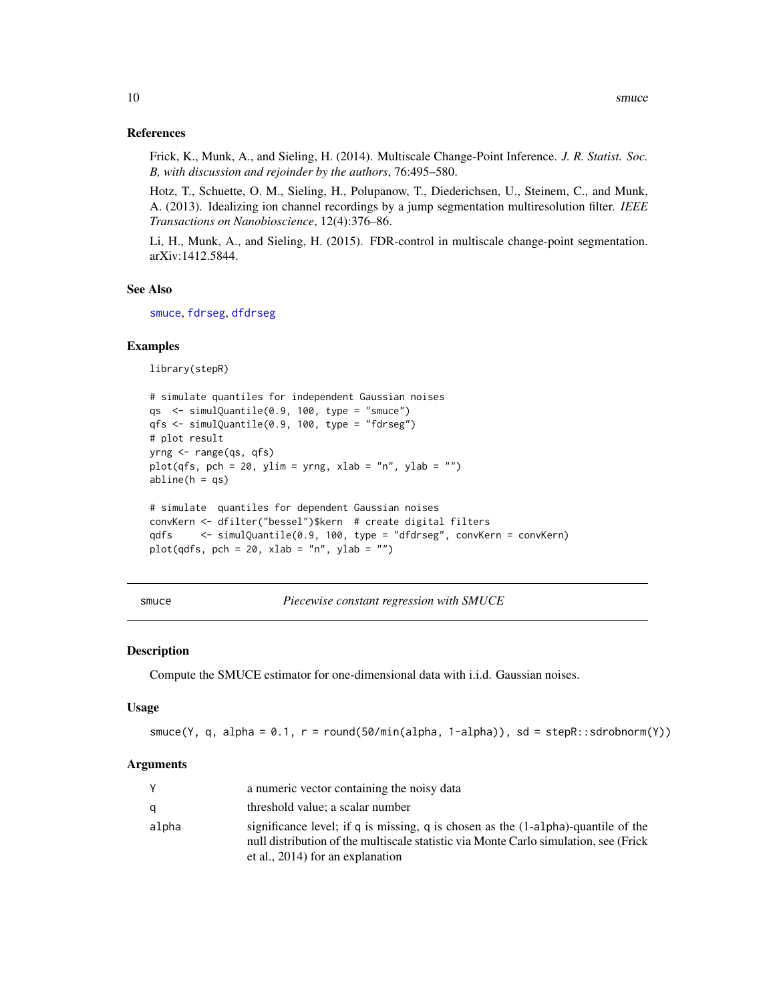#### References

Frick, K., Munk, A., and Sieling, H. (2014). Multiscale Change-Point Inference. *J. R. Statist. Soc. B, with discussion and rejoinder by the authors*, 76:495–580.

Hotz, T., Schuette, O. M., Sieling, H., Polupanow, T., Diederichsen, U., Steinem, C., and Munk, A. (2013). Idealizing ion channel recordings by a jump segmentation multiresolution filter. *IEEE Transactions on Nanobioscience*, 12(4):376–86.

Li, H., Munk, A., and Sieling, H. (2015). FDR-control in multiscale change-point segmentation. arXiv:1412.5844.

#### See Also

[smuce](#page-9-1), [fdrseg](#page-6-1), [dfdrseg](#page-4-1)

#### Examples

library(stepR)

```
# simulate quantiles for independent Gaussian noises
qs <- simulQuantile(0.9, 100, type = "smuce")
qfs <- simulQuantile(0.9, 100, type = "fdrseg")
# plot result
yrng <- range(qs, qfs)
plot(qfs, pch = 20, ylim = yrng, xlab = "n", ylab = "")
abline(h = qs)# simulate quantiles for dependent Gaussian noises
convKern <- dfilter("bessel")$kern # create digital filters
```

```
qdfs <- simulQuantile(0.9, 100, type = "dfdrseg", convKern = convKern)
plot(qdfs, pch = 20, xlab = "n", ylab = "")
```
smuce *Piecewise constant regression with SMUCE*

#### Description

Compute the SMUCE estimator for one-dimensional data with i.i.d. Gaussian noises.

#### Usage

smuce(Y, q, alpha =  $0.1$ ,  $r = round(50/min(alpha, 1-alpha)$ ),  $sd = stepR::sdrobnorm(Y))$ 

#### Arguments

|       | a numeric vector containing the noisy data                                                                                                                                                                       |
|-------|------------------------------------------------------------------------------------------------------------------------------------------------------------------------------------------------------------------|
| a     | threshold value; a scalar number                                                                                                                                                                                 |
| alpha | significance level; if q is missing, q is chosen as the (1-alpha)-quantile of the<br>null distribution of the multiscale statistic via Monte Carlo simulation, see (Frick<br>et al., $2014$ ) for an explanation |

<span id="page-9-0"></span>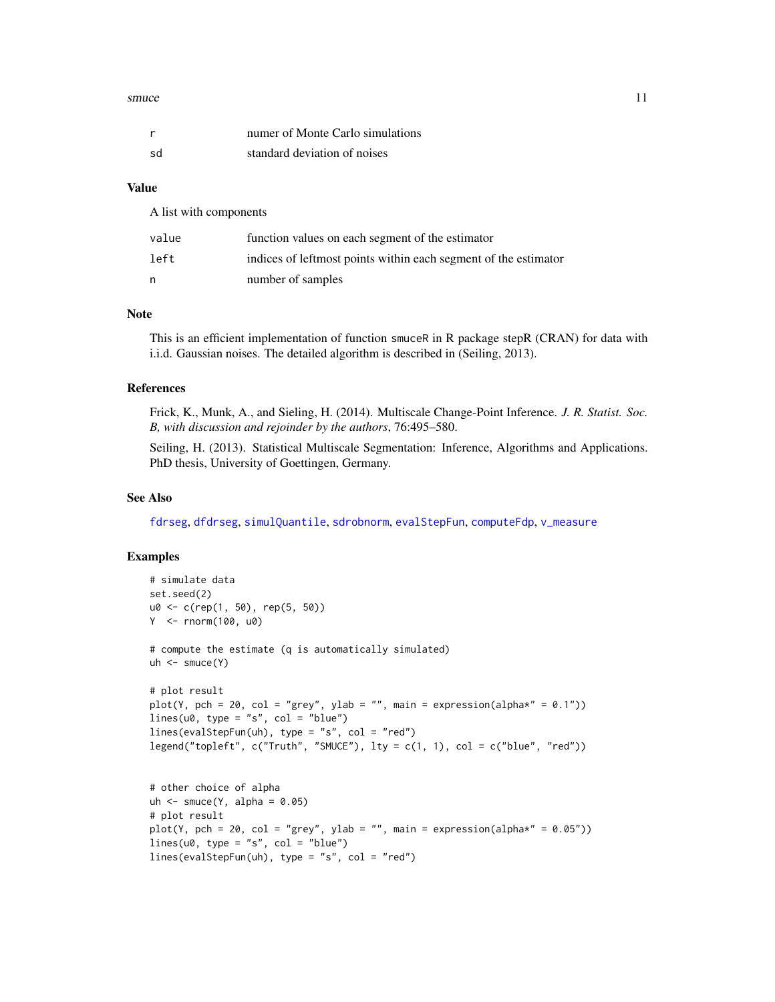#### <span id="page-10-0"></span>smuce the contract of the contract of the contract of the contract of the contract of the contract of the contract of the contract of the contract of the contract of the contract of the contract of the contract of the cont

|    | numer of Monte Carlo simulations |
|----|----------------------------------|
| sd | standard deviation of noises     |

# Value

A list with components

| value | function values on each segment of the estimator                |
|-------|-----------------------------------------------------------------|
| left  | indices of leftmost points within each segment of the estimator |
| n     | number of samples                                               |

# Note

This is an efficient implementation of function smuceR in R package stepR (CRAN) for data with i.i.d. Gaussian noises. The detailed algorithm is described in (Seiling, 2013).

#### References

Frick, K., Munk, A., and Sieling, H. (2014). Multiscale Change-Point Inference. *J. R. Statist. Soc. B, with discussion and rejoinder by the authors*, 76:495–580.

Seiling, H. (2013). Statistical Multiscale Segmentation: Inference, Algorithms and Applications. PhD thesis, University of Goettingen, Germany.

# See Also

[fdrseg](#page-6-1), [dfdrseg](#page-4-1), [simulQuantile](#page-8-1), [sdrobnorm](#page-0-0), [evalStepFun](#page-5-1), [computeFdp](#page-3-1), [v\\_measure](#page-12-1)

```
# simulate data
set.seed(2)
u0 <- c(rep(1, 50), rep(5, 50))
Y <- rnorm(100, u0)
# compute the estimate (q is automatically simulated)
uh <- smuce(Y)
# plot result
plot(Y, pch = 20, col = "grey", ylab = "", main = expression(alpha*" = 0.1"))
lines(u0, type = "s", col = "blue")lines(evalStepFun(uh), type = "s", col = "red")
legend("topleft", c("Truth", "SMUCE"), \, lty = c(1, 1), \, col = c("blue", "red"))# other choice of alpha
uh \leq smuce(Y, alpha = 0.05)
# plot result
plot(Y, pch = 20, col = "grey", ylab = "", main = expression(alpha*" = 0.05"))
lines(u0, type = "s", col = "blue")
```

```
lines(evalStepFun(uh), type = "s", col = "red")
```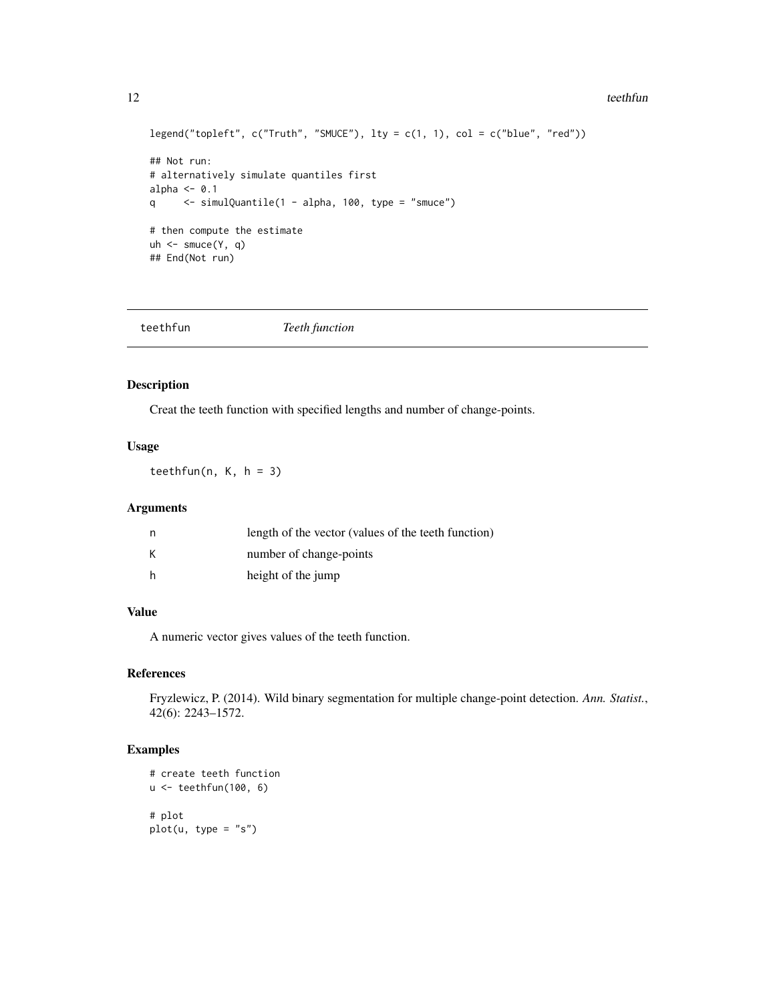#### <span id="page-11-0"></span>12 teethfun

```
legend("topleft", c("Truth", "SMUCE"), lty = c(1, 1), col = c("blue", "red"))## Not run:
# alternatively simulate quantiles first
alpha <- 0.1
q <- simulQuantile(1 - alpha, 100, type = "smuce")
# then compute the estimate
uh \leq smuce(Y, q)
## End(Not run)
```
teethfun *Teeth function*

# Description

Creat the teeth function with specified lengths and number of change-points.

#### Usage

teethfun(n,  $K$ ,  $h = 3$ )

#### Arguments

| n | length of the vector (values of the teeth function) |
|---|-----------------------------------------------------|
| К | number of change-points                             |
| h | height of the jump                                  |

# Value

A numeric vector gives values of the teeth function.

#### References

Fryzlewicz, P. (2014). Wild binary segmentation for multiple change-point detection. *Ann. Statist.*, 42(6): 2243–1572.

```
# create teeth function
u <- teethfun(100, 6)
# plot
plot(u, type = "s")
```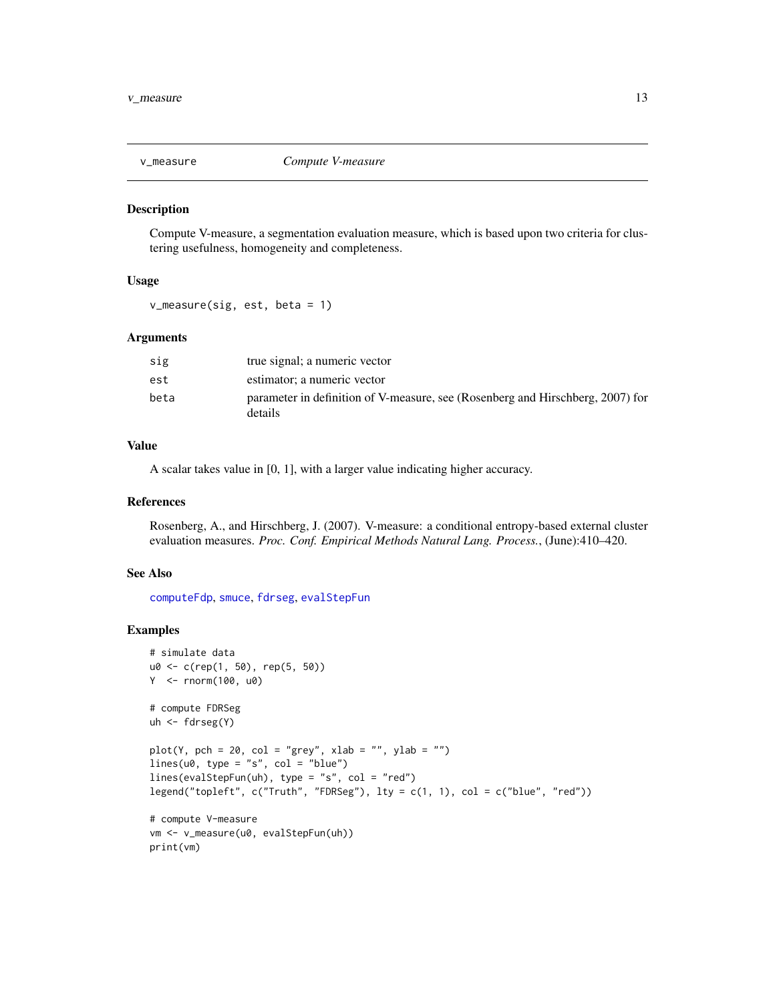<span id="page-12-1"></span><span id="page-12-0"></span>

# Description

Compute V-measure, a segmentation evaluation measure, which is based upon two criteria for clustering usefulness, homogeneity and completeness.

#### Usage

v\_measure(sig, est, beta = 1)

#### Arguments

| sig  | true signal; a numeric vector                                                             |
|------|-------------------------------------------------------------------------------------------|
| est  | estimator: a numeric vector                                                               |
| beta | parameter in definition of V-measure, see (Rosenberg and Hirschberg, 2007) for<br>details |

# Value

A scalar takes value in [0, 1], with a larger value indicating higher accuracy.

#### References

Rosenberg, A., and Hirschberg, J. (2007). V-measure: a conditional entropy-based external cluster evaluation measures. *Proc. Conf. Empirical Methods Natural Lang. Process.*, (June):410–420.

#### See Also

[computeFdp](#page-3-1), [smuce](#page-9-1), [fdrseg](#page-6-1), [evalStepFun](#page-5-1)

```
# simulate data
u0 <- c(rep(1, 50), rep(5, 50))
Y <- rnorm(100, u0)
# compute FDRSeg
uh <- fdrseg(Y)
plot(Y, pch = 20, col = "grey", xlab = "", ylab = "")lines(u0, type = "s", col = "blue")lines(evalStepFun(uh), type = "s", col = "red")
legend("topleft", c("Truth", "FDRSeg"), lty = c(1, 1), col = c("blue", "red"))
# compute V-measure
vm <- v_measure(u0, evalStepFun(uh))
print(vm)
```